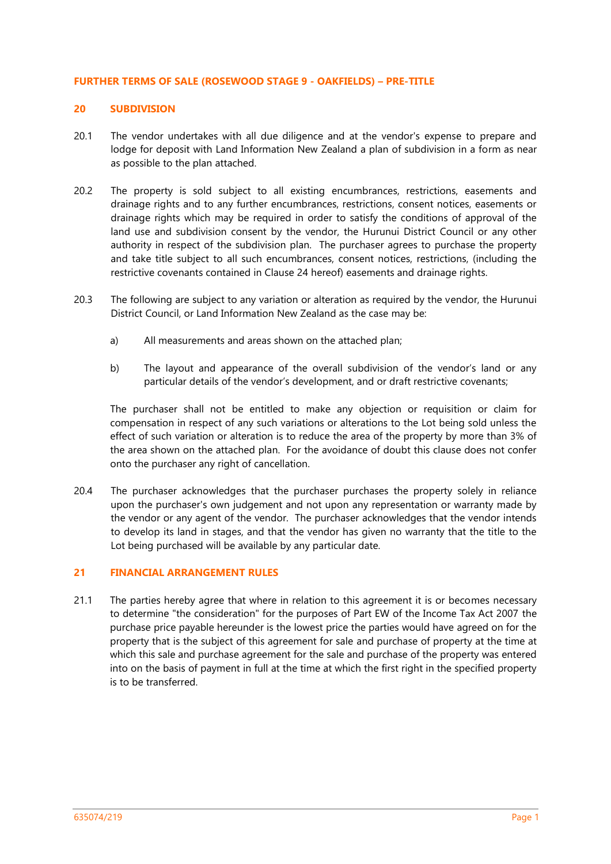#### **FURTHER TERMS OF SALE (ROSEWOOD STAGE 9 - OAKFIELDS) – PRE-TITLE**

# **20 SUBDIVISION**

- 20.1 The vendor undertakes with all due diligence and at the vendor's expense to prepare and lodge for deposit with Land Information New Zealand a plan of subdivision in a form as near as possible to the plan attached.
- 20.2 The property is sold subject to all existing encumbrances, restrictions, easements and drainage rights and to any further encumbrances, restrictions, consent notices, easements or drainage rights which may be required in order to satisfy the conditions of approval of the land use and subdivision consent by the vendor, the Hurunui District Council or any other authority in respect of the subdivision plan. The purchaser agrees to purchase the property and take title subject to all such encumbrances, consent notices, restrictions, (including the restrictive covenants contained in Clause 24 hereof) easements and drainage rights.
- 20.3 The following are subject to any variation or alteration as required by the vendor, the Hurunui District Council, or Land Information New Zealand as the case may be:
	- a) All measurements and areas shown on the attached plan;
	- b) The layout and appearance of the overall subdivision of the vendor's land or any particular details of the vendor's development, and or draft restrictive covenants;

The purchaser shall not be entitled to make any objection or requisition or claim for compensation in respect of any such variations or alterations to the Lot being sold unless the effect of such variation or alteration is to reduce the area of the property by more than 3% of the area shown on the attached plan. For the avoidance of doubt this clause does not confer onto the purchaser any right of cancellation.

20.4 The purchaser acknowledges that the purchaser purchases the property solely in reliance upon the purchaser's own judgement and not upon any representation or warranty made by the vendor or any agent of the vendor. The purchaser acknowledges that the vendor intends to develop its land in stages, and that the vendor has given no warranty that the title to the Lot being purchased will be available by any particular date.

# **21 FINANCIAL ARRANGEMENT RULES**

21.1 The parties hereby agree that where in relation to this agreement it is or becomes necessary to determine "the consideration" for the purposes of Part EW of the Income Tax Act 2007 the purchase price payable hereunder is the lowest price the parties would have agreed on for the property that is the subject of this agreement for sale and purchase of property at the time at which this sale and purchase agreement for the sale and purchase of the property was entered into on the basis of payment in full at the time at which the first right in the specified property is to be transferred.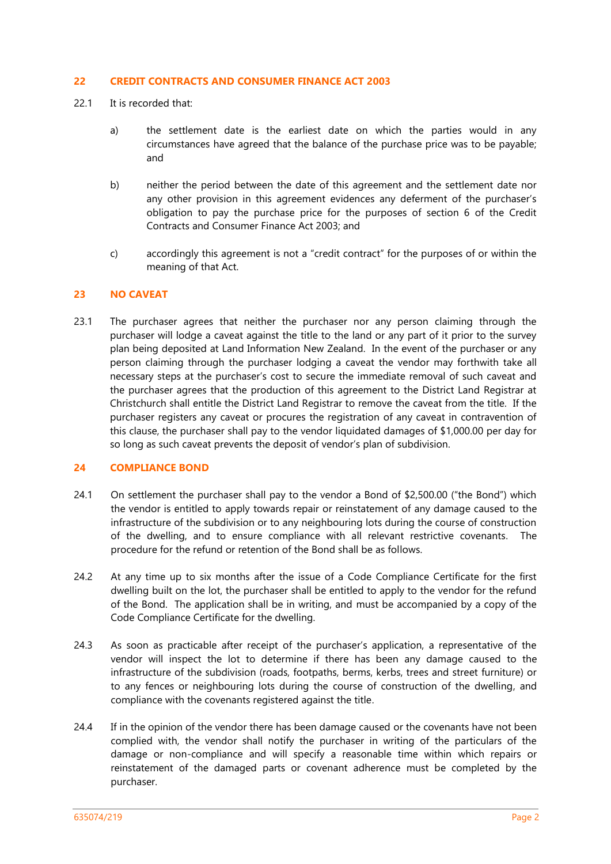### **22 CREDIT CONTRACTS AND CONSUMER FINANCE ACT 2003**

- 22.1 It is recorded that:
	- a) the settlement date is the earliest date on which the parties would in any circumstances have agreed that the balance of the purchase price was to be payable; and
	- b) neither the period between the date of this agreement and the settlement date nor any other provision in this agreement evidences any deferment of the purchaser's obligation to pay the purchase price for the purposes of section 6 of the Credit Contracts and Consumer Finance Act 2003; and
	- c) accordingly this agreement is not a "credit contract" for the purposes of or within the meaning of that Act.

### **23 NO CAVEAT**

23.1 The purchaser agrees that neither the purchaser nor any person claiming through the purchaser will lodge a caveat against the title to the land or any part of it prior to the survey plan being deposited at Land Information New Zealand. In the event of the purchaser or any person claiming through the purchaser lodging a caveat the vendor may forthwith take all necessary steps at the purchaser's cost to secure the immediate removal of such caveat and the purchaser agrees that the production of this agreement to the District Land Registrar at Christchurch shall entitle the District Land Registrar to remove the caveat from the title. If the purchaser registers any caveat or procures the registration of any caveat in contravention of this clause, the purchaser shall pay to the vendor liquidated damages of \$1,000.00 per day for so long as such caveat prevents the deposit of vendor's plan of subdivision.

# **24 COMPLIANCE BOND**

- 24.1 On settlement the purchaser shall pay to the vendor a Bond of \$2,500.00 ("the Bond") which the vendor is entitled to apply towards repair or reinstatement of any damage caused to the infrastructure of the subdivision or to any neighbouring lots during the course of construction of the dwelling, and to ensure compliance with all relevant restrictive covenants. The procedure for the refund or retention of the Bond shall be as follows.
- 24.2 At any time up to six months after the issue of a Code Compliance Certificate for the first dwelling built on the lot, the purchaser shall be entitled to apply to the vendor for the refund of the Bond. The application shall be in writing, and must be accompanied by a copy of the Code Compliance Certificate for the dwelling.
- 24.3 As soon as practicable after receipt of the purchaser's application, a representative of the vendor will inspect the lot to determine if there has been any damage caused to the infrastructure of the subdivision (roads, footpaths, berms, kerbs, trees and street furniture) or to any fences or neighbouring lots during the course of construction of the dwelling, and compliance with the covenants registered against the title.
- 24.4 If in the opinion of the vendor there has been damage caused or the covenants have not been complied with, the vendor shall notify the purchaser in writing of the particulars of the damage or non-compliance and will specify a reasonable time within which repairs or reinstatement of the damaged parts or covenant adherence must be completed by the purchaser.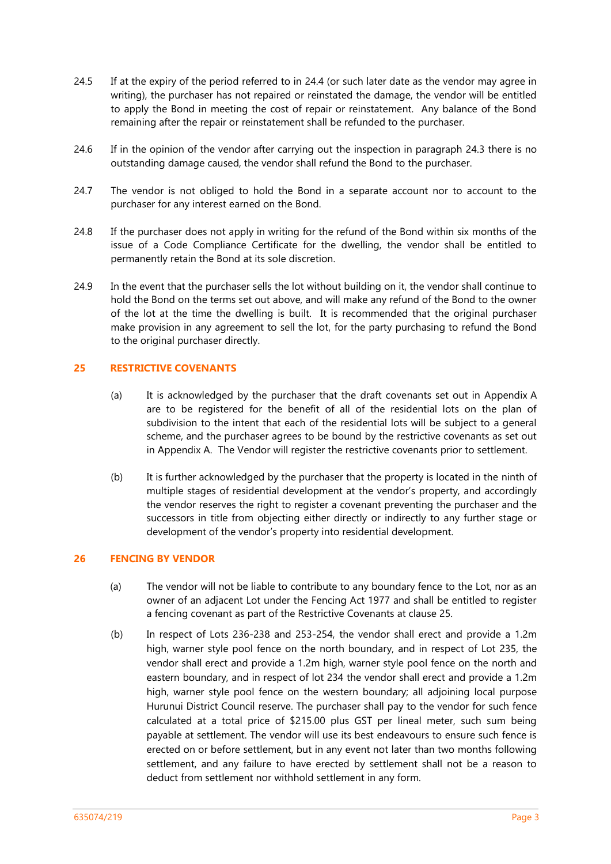- 24.5 If at the expiry of the period referred to in 24.4 (or such later date as the vendor may agree in writing), the purchaser has not repaired or reinstated the damage, the vendor will be entitled to apply the Bond in meeting the cost of repair or reinstatement. Any balance of the Bond remaining after the repair or reinstatement shall be refunded to the purchaser.
- 24.6 If in the opinion of the vendor after carrying out the inspection in paragraph 24.3 there is no outstanding damage caused, the vendor shall refund the Bond to the purchaser.
- 24.7 The vendor is not obliged to hold the Bond in a separate account nor to account to the purchaser for any interest earned on the Bond.
- 24.8 If the purchaser does not apply in writing for the refund of the Bond within six months of the issue of a Code Compliance Certificate for the dwelling, the vendor shall be entitled to permanently retain the Bond at its sole discretion.
- 24.9 In the event that the purchaser sells the lot without building on it, the vendor shall continue to hold the Bond on the terms set out above, and will make any refund of the Bond to the owner of the lot at the time the dwelling is built. It is recommended that the original purchaser make provision in any agreement to sell the lot, for the party purchasing to refund the Bond to the original purchaser directly.

# **25 RESTRICTIVE COVENANTS**

- (a) It is acknowledged by the purchaser that the draft covenants set out in Appendix A are to be registered for the benefit of all of the residential lots on the plan of subdivision to the intent that each of the residential lots will be subject to a general scheme, and the purchaser agrees to be bound by the restrictive covenants as set out in Appendix A. The Vendor will register the restrictive covenants prior to settlement.
- (b) It is further acknowledged by the purchaser that the property is located in the ninth of multiple stages of residential development at the vendor's property, and accordingly the vendor reserves the right to register a covenant preventing the purchaser and the successors in title from objecting either directly or indirectly to any further stage or development of the vendor's property into residential development.

## **26 FENCING BY VENDOR**

- (a) The vendor will not be liable to contribute to any boundary fence to the Lot, nor as an owner of an adjacent Lot under the Fencing Act 1977 and shall be entitled to register a fencing covenant as part of the Restrictive Covenants at clause 25.
- (b) In respect of Lots 236-238 and 253-254, the vendor shall erect and provide a 1.2m high, warner style pool fence on the north boundary, and in respect of Lot 235, the vendor shall erect and provide a 1.2m high, warner style pool fence on the north and eastern boundary, and in respect of lot 234 the vendor shall erect and provide a 1.2m high, warner style pool fence on the western boundary; all adjoining local purpose Hurunui District Council reserve. The purchaser shall pay to the vendor for such fence calculated at a total price of \$215.00 plus GST per lineal meter, such sum being payable at settlement. The vendor will use its best endeavours to ensure such fence is erected on or before settlement, but in any event not later than two months following settlement, and any failure to have erected by settlement shall not be a reason to deduct from settlement nor withhold settlement in any form.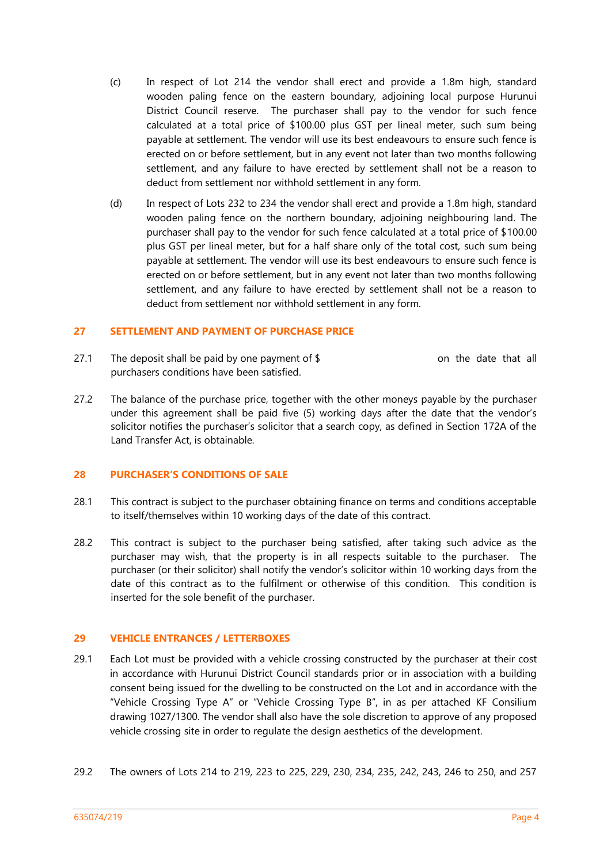- (c) In respect of Lot 214 the vendor shall erect and provide a 1.8m high, standard wooden paling fence on the eastern boundary, adjoining local purpose Hurunui District Council reserve. The purchaser shall pay to the vendor for such fence calculated at a total price of \$100.00 plus GST per lineal meter, such sum being payable at settlement. The vendor will use its best endeavours to ensure such fence is erected on or before settlement, but in any event not later than two months following settlement, and any failure to have erected by settlement shall not be a reason to deduct from settlement nor withhold settlement in any form.
- (d) In respect of Lots 232 to 234 the vendor shall erect and provide a 1.8m high, standard wooden paling fence on the northern boundary, adjoining neighbouring land. The purchaser shall pay to the vendor for such fence calculated at a total price of \$100.00 plus GST per lineal meter, but for a half share only of the total cost, such sum being payable at settlement. The vendor will use its best endeavours to ensure such fence is erected on or before settlement, but in any event not later than two months following settlement, and any failure to have erected by settlement shall not be a reason to deduct from settlement nor withhold settlement in any form.

## **27 SETTLEMENT AND PAYMENT OF PURCHASE PRICE**

- 27.1 The deposit shall be paid by one payment of  $$$  on the date that all purchasers conditions have been satisfied.
- 27.2 The balance of the purchase price, together with the other moneys payable by the purchaser under this agreement shall be paid five (5) working days after the date that the vendor's solicitor notifies the purchaser's solicitor that a search copy, as defined in Section 172A of the Land Transfer Act, is obtainable.

## **28 PURCHASER'S CONDITIONS OF SALE**

- 28.1 This contract is subject to the purchaser obtaining finance on terms and conditions acceptable to itself/themselves within 10 working days of the date of this contract.
- 28.2 This contract is subject to the purchaser being satisfied, after taking such advice as the purchaser may wish, that the property is in all respects suitable to the purchaser. The purchaser (or their solicitor) shall notify the vendor's solicitor within 10 working days from the date of this contract as to the fulfilment or otherwise of this condition. This condition is inserted for the sole benefit of the purchaser.

## **29 VEHICLE ENTRANCES / LETTERBOXES**

- 29.1 Each Lot must be provided with a vehicle crossing constructed by the purchaser at their cost in accordance with Hurunui District Council standards prior or in association with a building consent being issued for the dwelling to be constructed on the Lot and in accordance with the "Vehicle Crossing Type A" or "Vehicle Crossing Type B", in as per attached KF Consilium drawing 1027/1300. The vendor shall also have the sole discretion to approve of any proposed vehicle crossing site in order to regulate the design aesthetics of the development.
- 29.2 The owners of Lots 214 to 219, 223 to 225, 229, 230, 234, 235, 242, 243, 246 to 250, and 257